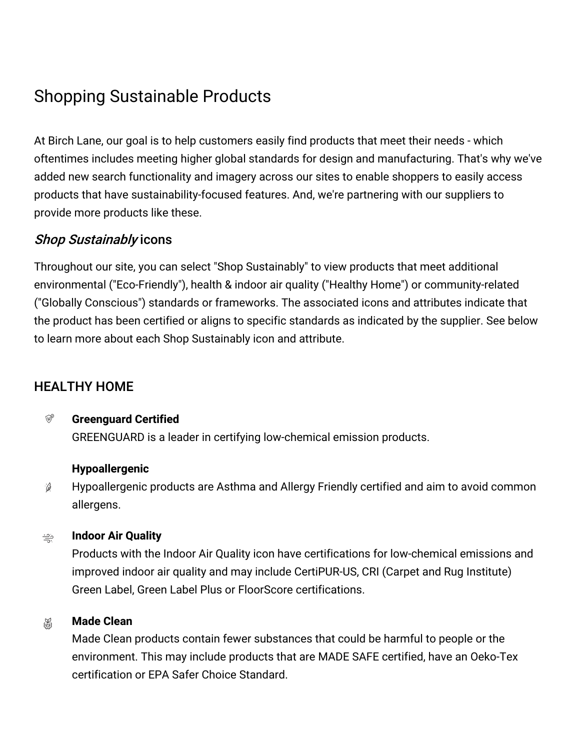# Shopping Sustainable Products

At Birch Lane, our goal is to help customers easily find products that meet their needs - which oftentimes includes meeting higher global standards for design and manufacturing. That's why we've added new search functionality and imagery across our sites to enable shoppers to easily access products that have sustainability-focused features. And, we're partnering with our suppliers to provide more products like these.

### Shop Sustainably icons

Throughout our site, you can select "Shop Sustainably" to view products that meet additional environmental ("Eco-Friendly"), health & indoor air quality ("Healthy Home") or community-related ("Globally Conscious") standards or frameworks. The associated icons and attributes indicate that the product has been certified or aligns to specific standards as indicated by the supplier. See below to learn more about each Shop Sustainably icon and attribute.

# HEALTHY HOME

#### $\circledcirc$ **Greenguard Certified**

GREENGUARD is a leader in certifying low-chemical emission products.

### **Hypoallergenic**

Hypoallergenic products are Asthma and Allergy Friendly certified and aim to avoid common  $\hat{\mathscr{G}}$ allergens.

#### **Indoor Air Quality** جدّ

Products with the Indoor Air Quality icon have certifications for low-chemical emissions and improved indoor air quality and may include CertiPUR-US, CRI (Carpet and Rug Institute) Green Label, Green Label Plus or FloorScore certifications.

#### **Made Clean** 溫

Made Clean products contain fewer substances that could be harmful to people or the environment. This may include products that are MADE SAFE certified, have an Oeko-Tex certification or EPA Safer Choice Standard.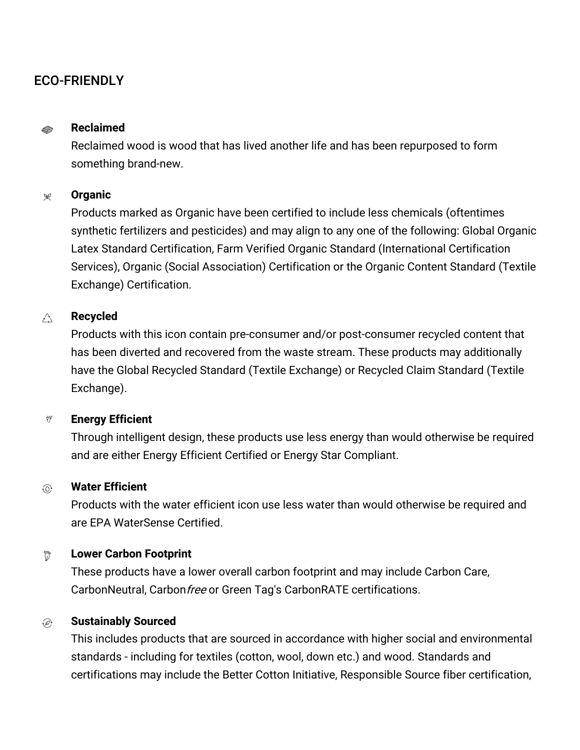### ECO-FRIENDLY

#### **Reclaimed D**

Reclaimed wood is wood that has lived another life and has been repurposed to form something brand-new.

#### **Organic**  $\mathscr{L}$

Products marked as Organic have been certified to include less chemicals (oftentimes synthetic fertilizers and pesticides) and may align to any one of the following: Global Organic Latex Standard Certification, Farm Verified Organic Standard (International Certification Services), Organic (Social Association) Certification or the Organic Content Standard (Textile Exchange) Certification.

#### $\bigwedge_{\mathcal{L},\Delta}$ **Recycled**

Products with this icon contain pre-consumer and/or post-consumer recycled content that has been diverted and recovered from the waste stream. These products may additionally have the Global Recycled Standard (Textile Exchange) or Recycled Claim Standard (Textile Exchange).

#### $\theta_b$ **Energy Efficient**

Through intelligent design, these products use less energy than would otherwise be required and are either Energy Efficient Certified or Energy Star Compliant.

#### **Water Efficient**  $\widehat{\circ}$

Products with the water efficient icon use less water than would otherwise be required and are EPA WaterSense Certified.

#### **Lower Carbon Footprint** ៊

These products have a lower overall carbon footprint and may include Carbon Care, CarbonNeutral, Carbon free or Green Tag's CarbonRATE certifications.

#### **Sustainably Sourced**  $\widehat{P}$

This includes products that are sourced in accordance with higher social and environmental standards - including for textiles (cotton, wool, down etc.) and wood. Standards and certifications may include the Better Cotton Initiative, Responsible Source fiber certification,